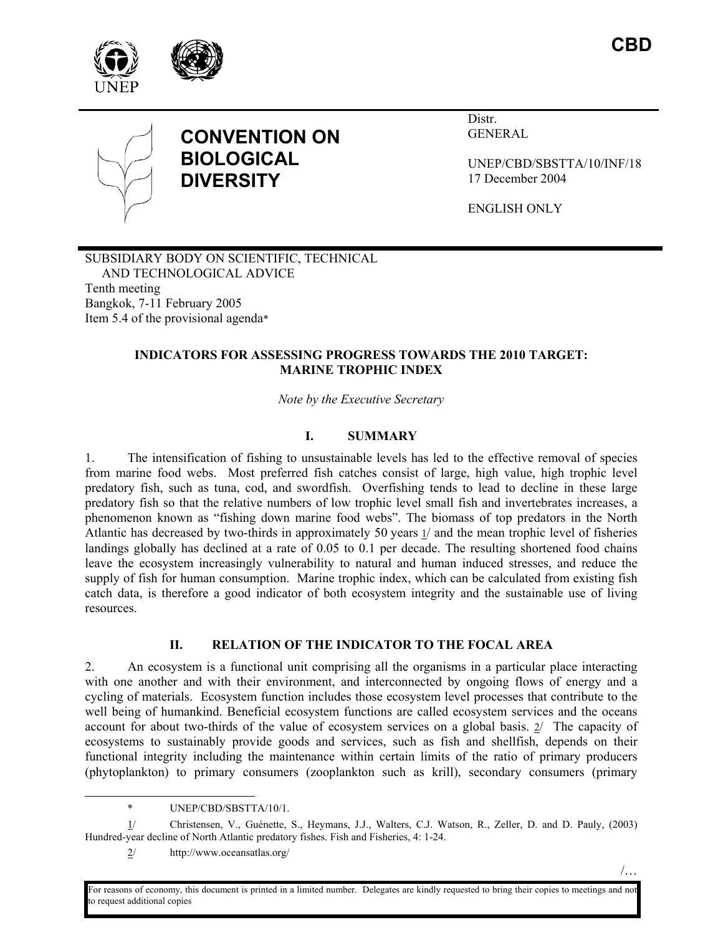





# **CONVENTION ON BIOLOGICAL DIVERSITY**

Distr. GENERAL

UNEP/CBD/SBSTTA/10/INF/18 17 December 2004

ENGLISH ONLY

SUBSIDIARY BODY ON SCIENTIFIC, TECHNICAL AND TECHNOLOGICAL ADVICE Tenth meeting Bangkok, 7-11 February 2005 Item 5.4 of the provisional agenda\*

## **INDICATORS FOR ASSESSING PROGRESS TOWARDS THE 2010 TARGET: MARINE TROPHIC INDEX**

*Note by the Executive Secretary* 

# **I. SUMMARY**

1. The intensification of fishing to unsustainable levels has led to the effective removal of species from marine food webs. Most preferred fish catches consist of large, high value, high trophic level predatory fish, such as tuna, cod, and swordfish. Overfishing tends to lead to decline in these large predatory fish so that the relative numbers of low trophic level small fish and invertebrates increases, a phenomenon known as "fishing down marine food webs". The biomass of top predators in the North Atlantic has decreased by two-thirds in approximately 50 years 1/ and the mean trophic level of fisheries landings globally has declined at a rate of 0.05 to 0.1 per decade. The resulting shortened food chains leave the ecosystem increasingly vulnerability to natural and human induced stresses, and reduce the supply of fish for human consumption. Marine trophic index, which can be calculated from existing fish catch data, is therefore a good indicator of both ecosystem integrity and the sustainable use of living resources.

## **II. RELATION OF THE INDICATOR TO THE FOCAL AREA**

2. An ecosystem is a functional unit comprising all the organisms in a particular place interacting with one another and with their environment, and interconnected by ongoing flows of energy and a cycling of materials. Ecosystem function includes those ecosystem level processes that contribute to the well being of humankind. Beneficial ecosystem functions are called ecosystem services and the oceans account for about two-thirds of the value of ecosystem services on a global basis. 2/ The capacity of ecosystems to sustainably provide goods and services, such as fish and shellfish, depends on their functional integrity including the maintenance within certain limits of the ratio of primary producers (phytoplankton) to primary consumers (zooplankton such as krill), secondary consumers (primary

1/ Christensen, V., Guénette, S., Heymans, J.J., Walters, C.J. Watson, R., Zeller, D. and D. Pauly, (2003) Hundred-year decline of North Atlantic predatory fishes. Fish and Fisheries, 4: 1-24.

For reasons of economy, this document is printed in a limited number. Delegates are kindly requested to bring their copies to meetings and not to request additional copies

 <sup>\*</sup> UNEP/CBD/SBSTTA/10/1.

<sup>2/</sup> http://www.oceansatlas.org/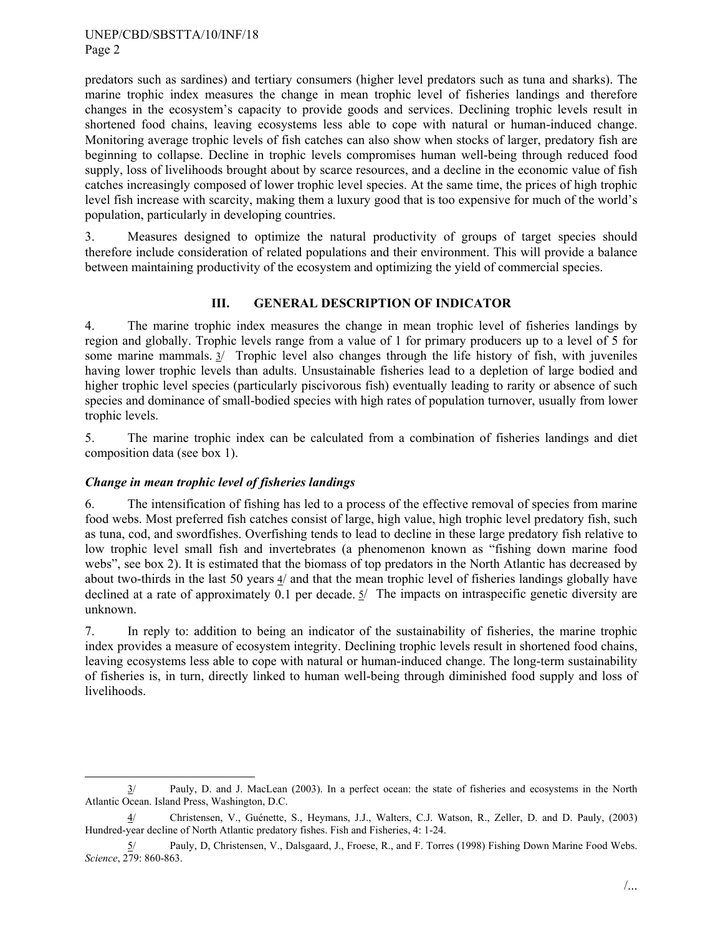predators such as sardines) and tertiary consumers (higher level predators such as tuna and sharks). The marine trophic index measures the change in mean trophic level of fisheries landings and therefore changes in the ecosystem's capacity to provide goods and services. Declining trophic levels result in shortened food chains, leaving ecosystems less able to cope with natural or human-induced change. Monitoring average trophic levels of fish catches can also show when stocks of larger, predatory fish are beginning to collapse. Decline in trophic levels compromises human well-being through reduced food supply, loss of livelihoods brought about by scarce resources, and a decline in the economic value of fish catches increasingly composed of lower trophic level species. At the same time, the prices of high trophic level fish increase with scarcity, making them a luxury good that is too expensive for much of the world's population, particularly in developing countries.

3. Measures designed to optimize the natural productivity of groups of target species should therefore include consideration of related populations and their environment. This will provide a balance between maintaining productivity of the ecosystem and optimizing the yield of commercial species.

#### **III. GENERAL DESCRIPTION OF INDICATOR**

4. The marine trophic index measures the change in mean trophic level of fisheries landings by region and globally. Trophic levels range from a value of 1 for primary producers up to a level of 5 for some marine mammals. 3/ Trophic level also changes through the life history of fish, with juveniles having lower trophic levels than adults. Unsustainable fisheries lead to a depletion of large bodied and higher trophic level species (particularly piscivorous fish) eventually leading to rarity or absence of such species and dominance of small-bodied species with high rates of population turnover, usually from lower trophic levels.

5. The marine trophic index can be calculated from a combination of fisheries landings and diet composition data (see box 1).

## *Change in mean trophic level of fisheries landings*

6. The intensification of fishing has led to a process of the effective removal of species from marine food webs. Most preferred fish catches consist of large, high value, high trophic level predatory fish, such as tuna, cod, and swordfishes. Overfishing tends to lead to decline in these large predatory fish relative to low trophic level small fish and invertebrates (a phenomenon known as "fishing down marine food webs", see box 2). It is estimated that the biomass of top predators in the North Atlantic has decreased by about two-thirds in the last 50 years 4/ and that the mean trophic level of fisheries landings globally have declined at a rate of approximately 0.1 per decade. 5/ The impacts on intraspecific genetic diversity are unknown.

7. In reply to: addition to being an indicator of the sustainability of fisheries, the marine trophic index provides a measure of ecosystem integrity. Declining trophic levels result in shortened food chains, leaving ecosystems less able to cope with natural or human-induced change. The long-term sustainability of fisheries is, in turn, directly linked to human well-being through diminished food supply and loss of livelihoods.

 <sup>3/</sup> Pauly, D. and J. MacLean (2003). In a perfect ocean: the state of fisheries and ecosystems in the North Atlantic Ocean. Island Press, Washington, D.C.

<sup>4/</sup> Christensen, V., Guénette, S., Heymans, J.J., Walters, C.J. Watson, R., Zeller, D. and D. Pauly, (2003) Hundred-year decline of North Atlantic predatory fishes. Fish and Fisheries, 4: 1-24.

<sup>5/</sup> Pauly, D, Christensen, V., Dalsgaard, J., Froese, R., and F. Torres (1998) Fishing Down Marine Food Webs. *Science*, 279: 860-863.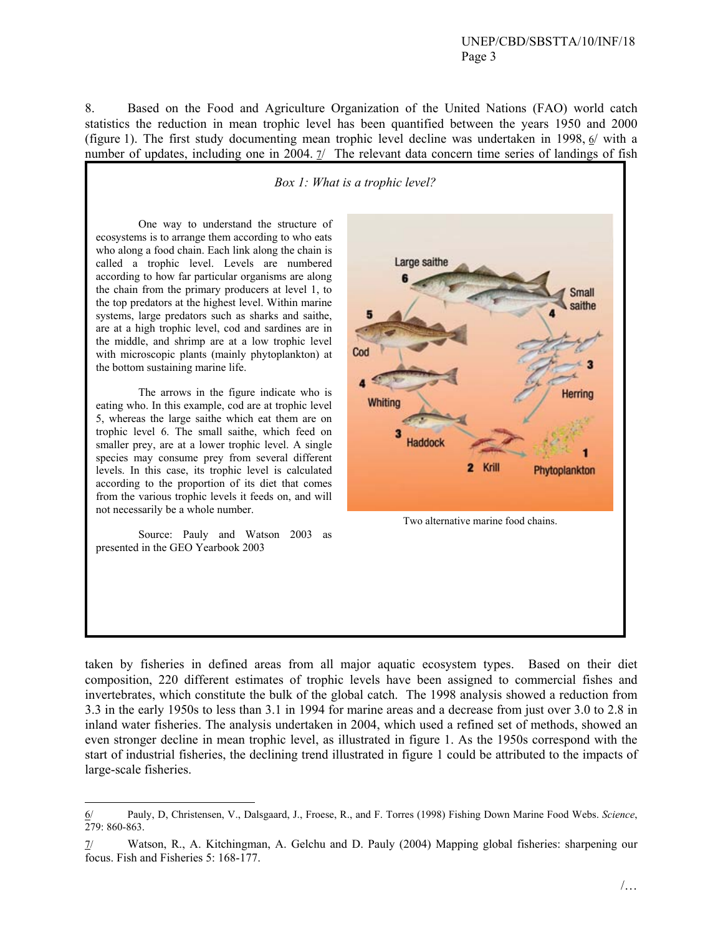8. Based on the Food and Agriculture Organization of the United Nations (FAO) world catch statistics the reduction in mean trophic level has been quantified between the years 1950 and 2000 (figure 1). The first study documenting mean trophic level decline was undertaken in 1998, 6/ with a number of updates, including one in 2004.  $\frac{7}{10}$  The relevant data concern time series of landings of fish

*Box 1: What is a trophic level?* 

One way to understand the structure of ecosystems is to arrange them according to who eats who along a food chain. Each link along the chain is called a trophic level. Levels are numbered according to how far particular organisms are along the chain from the primary producers at level 1, to the top predators at the highest level. Within marine systems, large predators such as sharks and saithe, are at a high trophic level, cod and sardines are in the middle, and shrimp are at a low trophic level with microscopic plants (mainly phytoplankton) at the bottom sustaining marine life.

The arrows in the figure indicate who is eating who. In this example, cod are at trophic level 5, whereas the large saithe which eat them are on trophic level 6. The small saithe, which feed on smaller prey, are at a lower trophic level. A single species may consume prey from several different levels. In this case, its trophic level is calculated according to the proportion of its diet that comes from the various trophic levels it feeds on, and will not necessarily be a whole number.

Source: Pauly and Watson 2003 as presented in the GEO Yearbook 2003

-



taken by fisheries in defined areas from all major aquatic ecosystem types. Based on their diet composition, 220 different estimates of trophic levels have been assigned to commercial fishes and invertebrates, which constitute the bulk of the global catch. The 1998 analysis showed a reduction from 3.3 in the early 1950s to less than 3.1 in 1994 for marine areas and a decrease from just over 3.0 to 2.8 in inland water fisheries. The analysis undertaken in 2004, which used a refined set of methods, showed an even stronger decline in mean trophic level, as illustrated in figure 1. As the 1950s correspond with the start of industrial fisheries, the declining trend illustrated in figure 1 could be attributed to the impacts of large-scale fisheries.

<sup>6/</sup> Pauly, D, Christensen, V., Dalsgaard, J., Froese, R., and F. Torres (1998) Fishing Down Marine Food Webs. *Science*, 279: 860-863.

<sup>7/</sup> Watson, R., A. Kitchingman, A. Gelchu and D. Pauly (2004) Mapping global fisheries: sharpening our focus. Fish and Fisheries 5: 168-177.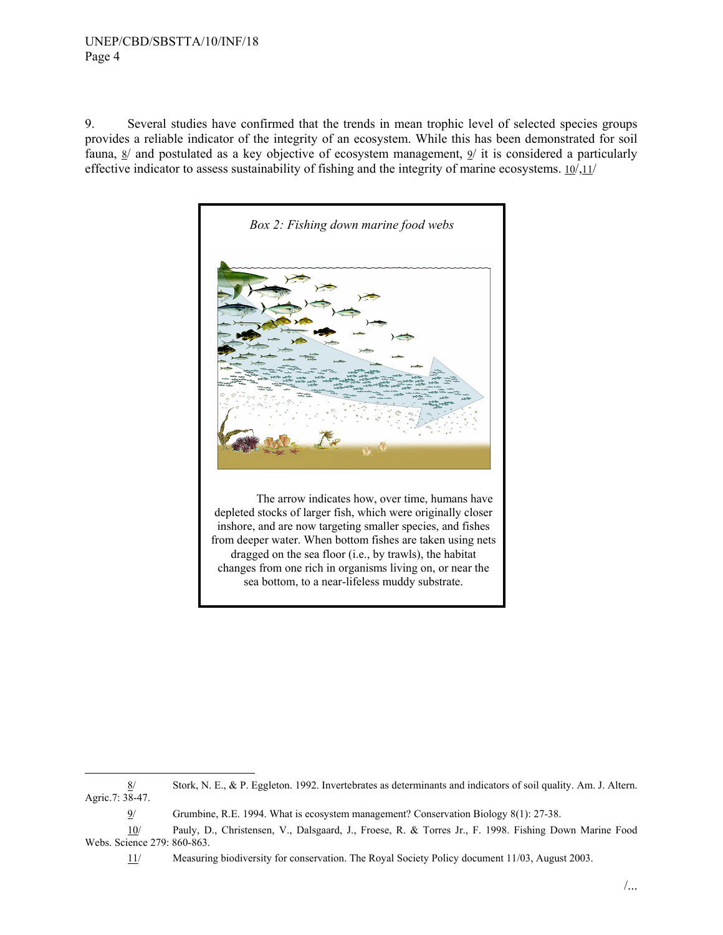9. Several studies have confirmed that the trends in mean trophic level of selected species groups provides a reliable indicator of the integrity of an ecosystem. While this has been demonstrated for soil fauna, 8/ and postulated as a key objective of ecosystem management, 9/ it is considered a particularly effective indicator to assess sustainability of fishing and the integrity of marine ecosystems. 10/,11/



The arrow indicates how, over time, humans have depleted stocks of larger fish, which were originally closer inshore, and are now targeting smaller species, and fishes from deeper water. When bottom fishes are taken using nets dragged on the sea floor (i.e., by trawls), the habitat changes from one rich in organisms living on, or near the sea bottom, to a near-lifeless muddy substrate.

 <sup>8/</sup> Stork, N. E., & P. Eggleton. 1992. Invertebrates as determinants and indicators of soil quality. Am. J. Altern. Agric.7: 38-47.

<sup>9/</sup> Grumbine, R.E. 1994. What is ecosystem management? Conservation Biology 8(1): 27-38.

<sup>10/</sup> Pauly, D., Christensen, V., Dalsgaard, J., Froese, R. & Torres Jr., F. 1998. Fishing Down Marine Food Webs. Science 279: 860-863.

<sup>11/</sup> Measuring biodiversity for conservation. The Royal Society Policy document 11/03, August 2003.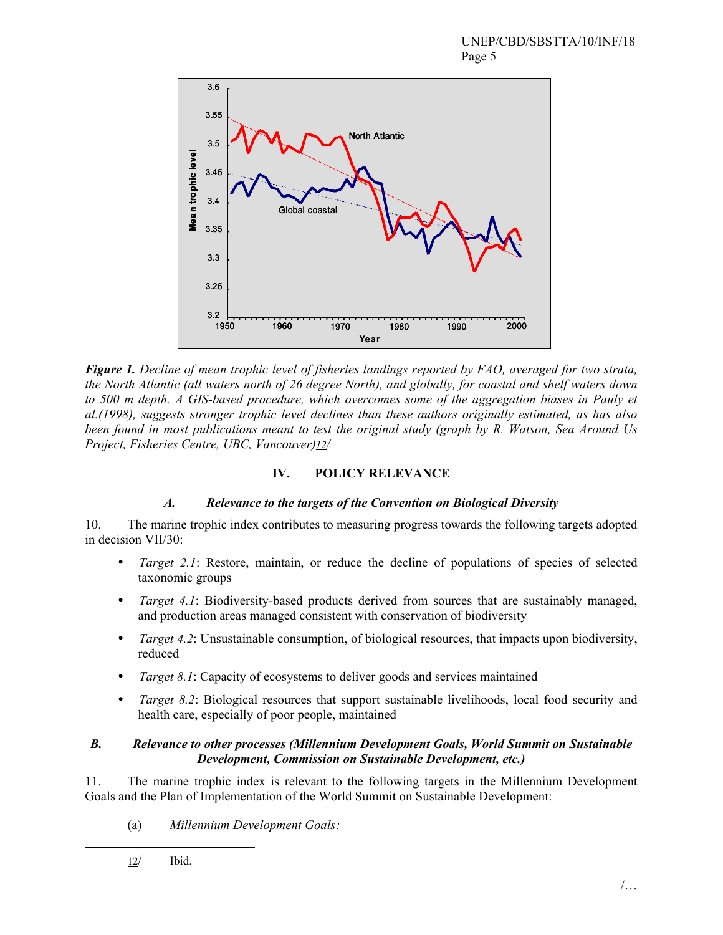

*Figure 1. Decline of mean trophic level of fisheries landings reported by FAO, averaged for two strata, the North Atlantic (all waters north of 26 degree North), and globally, for coastal and shelf waters down*  to 500 m depth. A GIS-based procedure, which overcomes some of the aggregation biases in Pauly et *al.(1998), suggests stronger trophic level declines than these authors originally estimated, as has also been found in most publications meant to test the original study (graph by R. Watson, Sea Around Us Project, Fisheries Centre, UBC, Vancouver)12/* 

# **IV. POLICY RELEVANCE**

## *A. Relevance to the targets of the Convention on Biological Diversity*

10. The marine trophic index contributes to measuring progress towards the following targets adopted in decision VII/30:

- *Target 2.1*: Restore, maintain, or reduce the decline of populations of species of selected taxonomic groups
- *Target 4.1*: Biodiversity-based products derived from sources that are sustainably managed, and production areas managed consistent with conservation of biodiversity
- *Target 4.2*: Unsustainable consumption, of biological resources, that impacts upon biodiversity, reduced
- *Target 8.1*: Capacity of ecosystems to deliver goods and services maintained
- *Target 8.2*: Biological resources that support sustainable livelihoods, local food security and health care, especially of poor people, maintained

#### *B. Relevance to other processes (Millennium Development Goals, World Summit on Sustainable Development, Commission on Sustainable Development, etc.)*

11. The marine trophic index is relevant to the following targets in the Millennium Development Goals and the Plan of Implementation of the World Summit on Sustainable Development:

(a) *Millennium Development Goals:* 

12/ Ibid.

l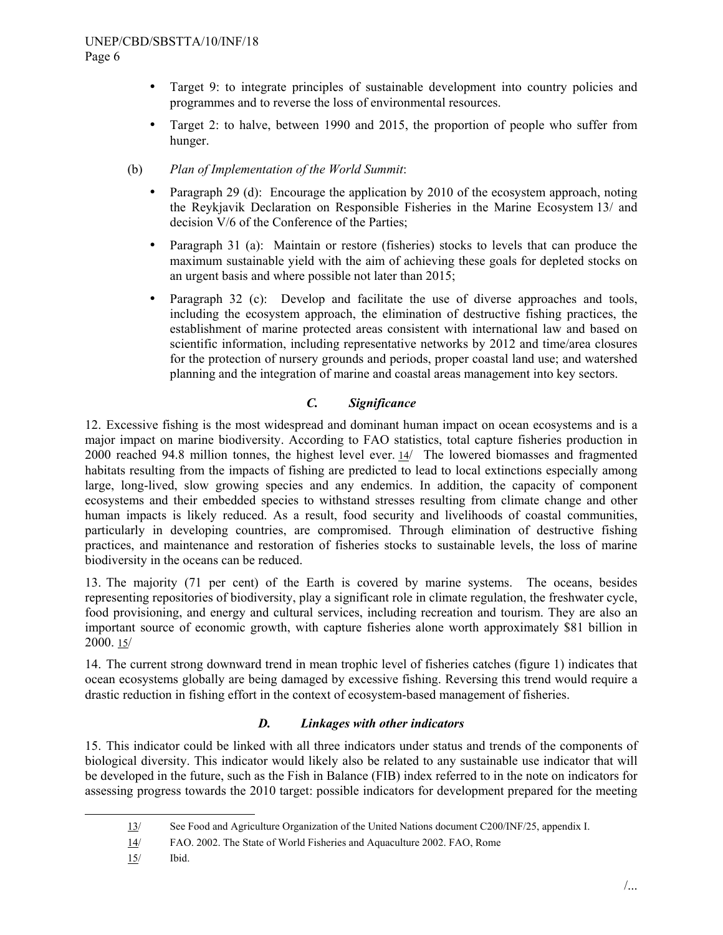- Target 9: to integrate principles of sustainable development into country policies and programmes and to reverse the loss of environmental resources.
- Target 2: to halve, between 1990 and 2015, the proportion of people who suffer from hunger.
- (b) *Plan of Implementation of the World Summit*:
	- Paragraph 29 (d): Encourage the application by 2010 of the ecosystem approach, noting the Reykjavik Declaration on Responsible Fisheries in the Marine Ecosystem 13/ and decision V/6 of the Conference of the Parties;
	- Paragraph 31 (a): Maintain or restore (fisheries) stocks to levels that can produce the maximum sustainable yield with the aim of achieving these goals for depleted stocks on an urgent basis and where possible not later than 2015;
	- Paragraph 32 (c): Develop and facilitate the use of diverse approaches and tools, including the ecosystem approach, the elimination of destructive fishing practices, the establishment of marine protected areas consistent with international law and based on scientific information, including representative networks by 2012 and time/area closures for the protection of nursery grounds and periods, proper coastal land use; and watershed planning and the integration of marine and coastal areas management into key sectors.

# *C. Significance*

12. Excessive fishing is the most widespread and dominant human impact on ocean ecosystems and is a major impact on marine biodiversity. According to FAO statistics, total capture fisheries production in 2000 reached 94.8 million tonnes, the highest level ever. 14/ The lowered biomasses and fragmented habitats resulting from the impacts of fishing are predicted to lead to local extinctions especially among large, long-lived, slow growing species and any endemics. In addition, the capacity of component ecosystems and their embedded species to withstand stresses resulting from climate change and other human impacts is likely reduced. As a result, food security and livelihoods of coastal communities, particularly in developing countries, are compromised. Through elimination of destructive fishing practices, and maintenance and restoration of fisheries stocks to sustainable levels, the loss of marine biodiversity in the oceans can be reduced.

13. The majority (71 per cent) of the Earth is covered by marine systems. The oceans, besides representing repositories of biodiversity, play a significant role in climate regulation, the freshwater cycle, food provisioning, and energy and cultural services, including recreation and tourism. They are also an important source of economic growth, with capture fisheries alone worth approximately \$81 billion in 2000. 15/

14. The current strong downward trend in mean trophic level of fisheries catches (figure 1) indicates that ocean ecosystems globally are being damaged by excessive fishing. Reversing this trend would require a drastic reduction in fishing effort in the context of ecosystem-based management of fisheries.

## *D. Linkages with other indicators*

15. This indicator could be linked with all three indicators under status and trends of the components of biological diversity. This indicator would likely also be related to any sustainable use indicator that will be developed in the future, such as the Fish in Balance (FIB) index referred to in the note on indicators for assessing progress towards the 2010 target: possible indicators for development prepared for the meeting

 <sup>13/</sup> See Food and Agriculture Organization of the United Nations document C200/INF/25, appendix I.

<sup>14/</sup> FAO. 2002. The State of World Fisheries and Aquaculture 2002. FAO, Rome

<sup>15/</sup> Ibid.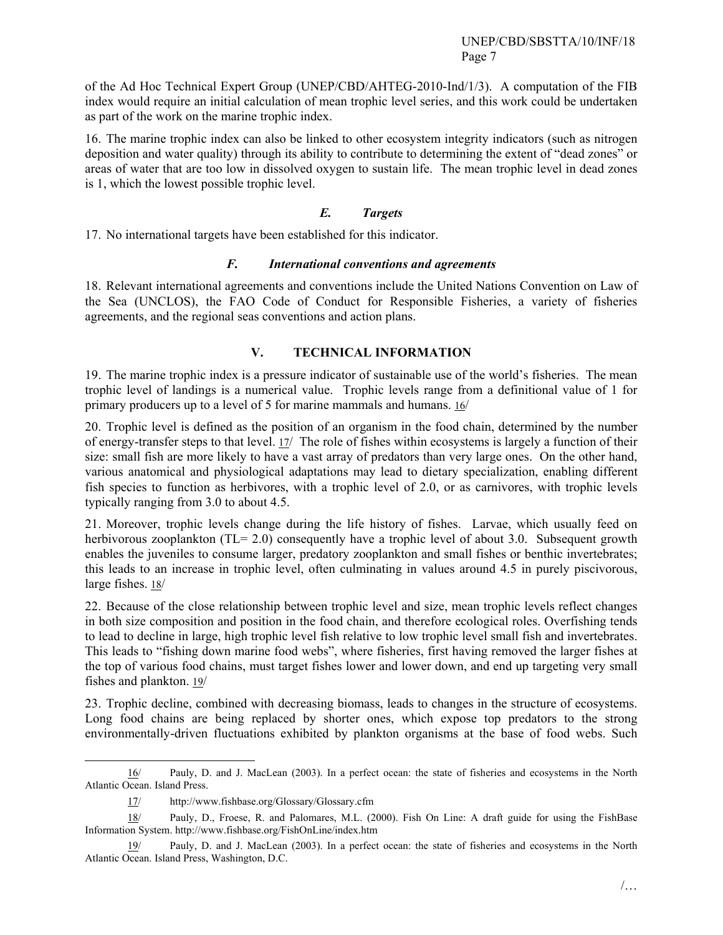of the Ad Hoc Technical Expert Group (UNEP/CBD/AHTEG-2010-Ind/1/3). A computation of the FIB index would require an initial calculation of mean trophic level series, and this work could be undertaken as part of the work on the marine trophic index.

16. The marine trophic index can also be linked to other ecosystem integrity indicators (such as nitrogen deposition and water quality) through its ability to contribute to determining the extent of "dead zones" or areas of water that are too low in dissolved oxygen to sustain life. The mean trophic level in dead zones is 1, which the lowest possible trophic level.

#### *E. Targets*

17. No international targets have been established for this indicator.

#### *F. International conventions and agreements*

18. Relevant international agreements and conventions include the United Nations Convention on Law of the Sea (UNCLOS), the FAO Code of Conduct for Responsible Fisheries, a variety of fisheries agreements, and the regional seas conventions and action plans.

#### **V. TECHNICAL INFORMATION**

19. The marine trophic index is a pressure indicator of sustainable use of the world's fisheries. The mean trophic level of landings is a numerical value. Trophic levels range from a definitional value of 1 for primary producers up to a level of 5 for marine mammals and humans. 16/

20. Trophic level is defined as the position of an organism in the food chain, determined by the number of energy-transfer steps to that level. 17/ The role of fishes within ecosystems is largely a function of their size: small fish are more likely to have a vast array of predators than very large ones. On the other hand, various anatomical and physiological adaptations may lead to dietary specialization, enabling different fish species to function as herbivores, with a trophic level of 2.0, or as carnivores, with trophic levels typically ranging from 3.0 to about 4.5.

21. Moreover, trophic levels change during the life history of fishes. Larvae, which usually feed on herbivorous zooplankton (TL= 2.0) consequently have a trophic level of about 3.0. Subsequent growth enables the juveniles to consume larger, predatory zooplankton and small fishes or benthic invertebrates; this leads to an increase in trophic level, often culminating in values around 4.5 in purely piscivorous, large fishes. 18/

22. Because of the close relationship between trophic level and size, mean trophic levels reflect changes in both size composition and position in the food chain, and therefore ecological roles. Overfishing tends to lead to decline in large, high trophic level fish relative to low trophic level small fish and invertebrates. This leads to "fishing down marine food webs", where fisheries, first having removed the larger fishes at the top of various food chains, must target fishes lower and lower down, and end up targeting very small fishes and plankton. 19/

23. Trophic decline, combined with decreasing biomass, leads to changes in the structure of ecosystems. Long food chains are being replaced by shorter ones, which expose top predators to the strong environmentally-driven fluctuations exhibited by plankton organisms at the base of food webs. Such

 <sup>16/</sup> Pauly, D. and J. MacLean (2003). In a perfect ocean: the state of fisheries and ecosystems in the North Atlantic Ocean. Island Press.

<sup>17/</sup> http://www.fishbase.org/Glossary/Glossary.cfm

<sup>18/</sup> Pauly, D., Froese, R. and Palomares, M.L. (2000). Fish On Line: A draft guide for using the FishBase Information System. http://www.fishbase.org/FishOnLine/index.htm

<sup>19/</sup> Pauly, D. and J. MacLean (2003). In a perfect ocean: the state of fisheries and ecosystems in the North Atlantic Ocean. Island Press, Washington, D.C.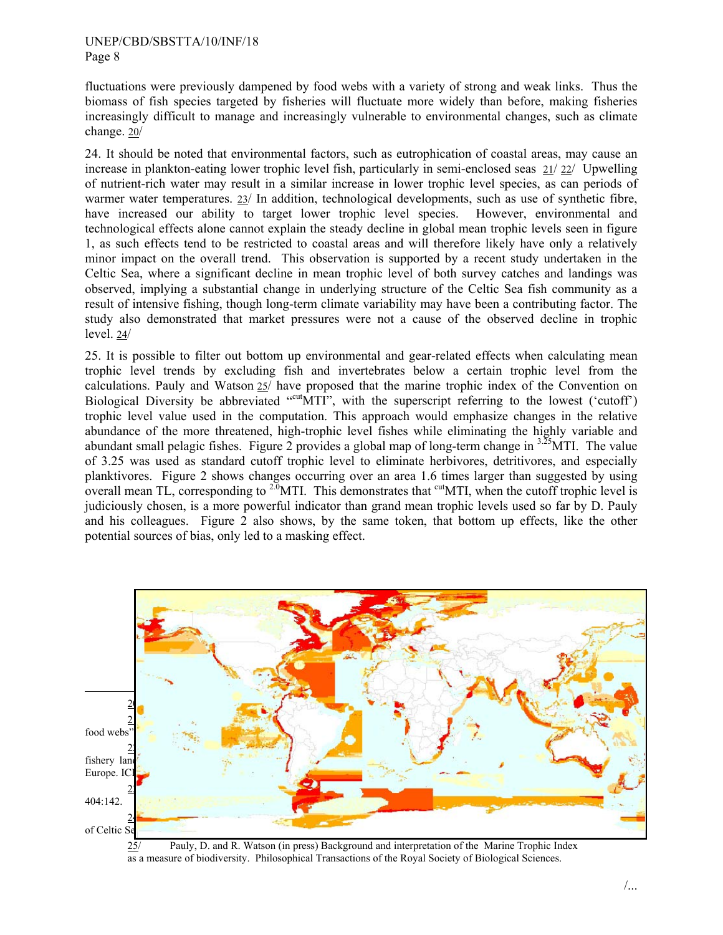fluctuations were previously dampened by food webs with a variety of strong and weak links. Thus the biomass of fish species targeted by fisheries will fluctuate more widely than before, making fisheries increasingly difficult to manage and increasingly vulnerable to environmental changes, such as climate change. 20/

24. It should be noted that environmental factors, such as eutrophication of coastal areas, may cause an increase in plankton-eating lower trophic level fish, particularly in semi-enclosed seas 21/ 22/ Upwelling of nutrient-rich water may result in a similar increase in lower trophic level species, as can periods of warmer water temperatures. 23/ In addition, technological developments, such as use of synthetic fibre, have increased our ability to target lower trophic level species. However, environmental and technological effects alone cannot explain the steady decline in global mean trophic levels seen in figure 1, as such effects tend to be restricted to coastal areas and will therefore likely have only a relatively minor impact on the overall trend. This observation is supported by a recent study undertaken in the Celtic Sea, where a significant decline in mean trophic level of both survey catches and landings was observed, implying a substantial change in underlying structure of the Celtic Sea fish community as a result of intensive fishing, though long-term climate variability may have been a contributing factor. The study also demonstrated that market pressures were not a cause of the observed decline in trophic level. 24/

25. It is possible to filter out bottom up environmental and gear-related effects when calculating mean trophic level trends by excluding fish and invertebrates below a certain trophic level from the calculations. Pauly and Watson 25/ have proposed that the marine trophic index of the Convention on Biological Diversity be abbreviated "cutoff", with the superscript referring to the lowest ('cutoff') trophic level value used in the computation. This approach would emphasize changes in the relative abundance of the more threatened, high-trophic level fishes while eliminating the highly variable and abundant small pelagic fishes. Figure 2 provides a global map of long-term change in <sup>3.25</sup>MTI. The value of 3.25 was used as standard cutoff trophic level to eliminate herbivores, detritivores, and especially planktivores. Figure 2 shows changes occurring over an area 1.6 times larger than suggested by using overall mean TL, corresponding to <sup>2.0</sup>MTI. This demonstrates that <sup>cut</sup>MTI, when the cutoff trophic level is judiciously chosen, is a more powerful indicator than grand mean trophic levels used so far by D. Pauly and his colleagues. Figure 2 also shows, by the same token, that bottom up effects, like the other potential sources of bias, only led to a masking effect.



25/ Pauly, D. and R. Watson (in press) Background and interpretation of the Marine Trophic Index as a measure of biodiversity. Philosophical Transactions of the Royal Society of Biological Sciences.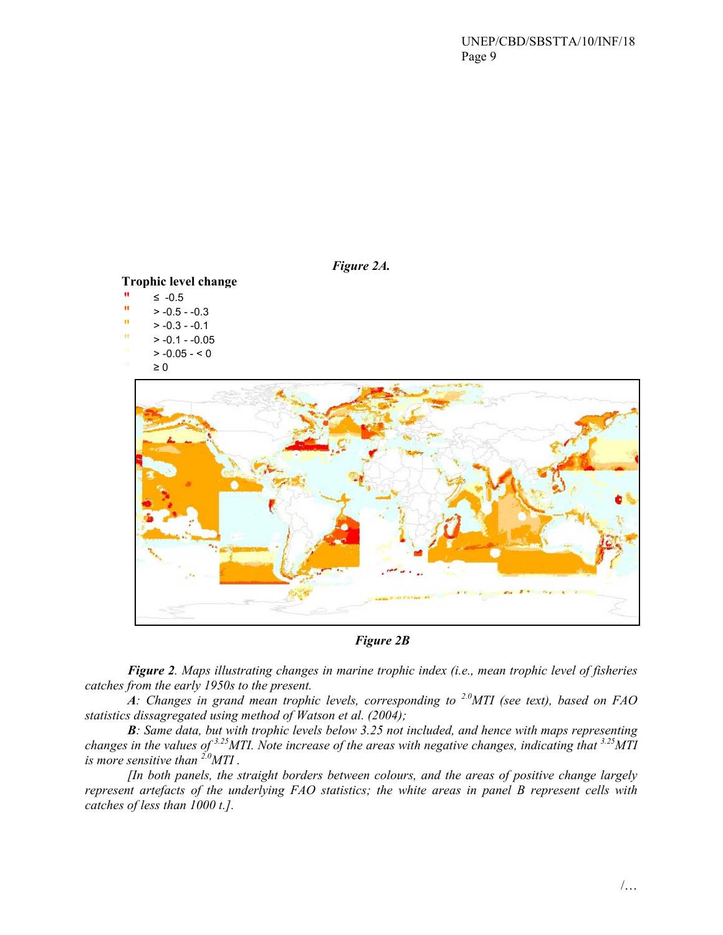

*Figure 2B* 

*Figure 2. Maps illustrating changes in marine trophic index (i.e., mean trophic level of fisheries catches from the early 1950s to the present.* 

*A: Changes in grand mean trophic levels, corresponding to 2.0MTI (see text), based on FAO statistics dissagregated using method of Watson et al. (2004);* 

*B: Same data, but with trophic levels below 3.25 not included, and hence with maps representing changes in the values of 3.25MTI. Note increase of the areas with negative changes, indicating that 3.25MTI is more sensitive than 2.0MTI .* 

*[In both panels, the straight borders between colours, and the areas of positive change largely represent artefacts of the underlying FAO statistics; the white areas in panel B represent cells with catches of less than 1000 t.].*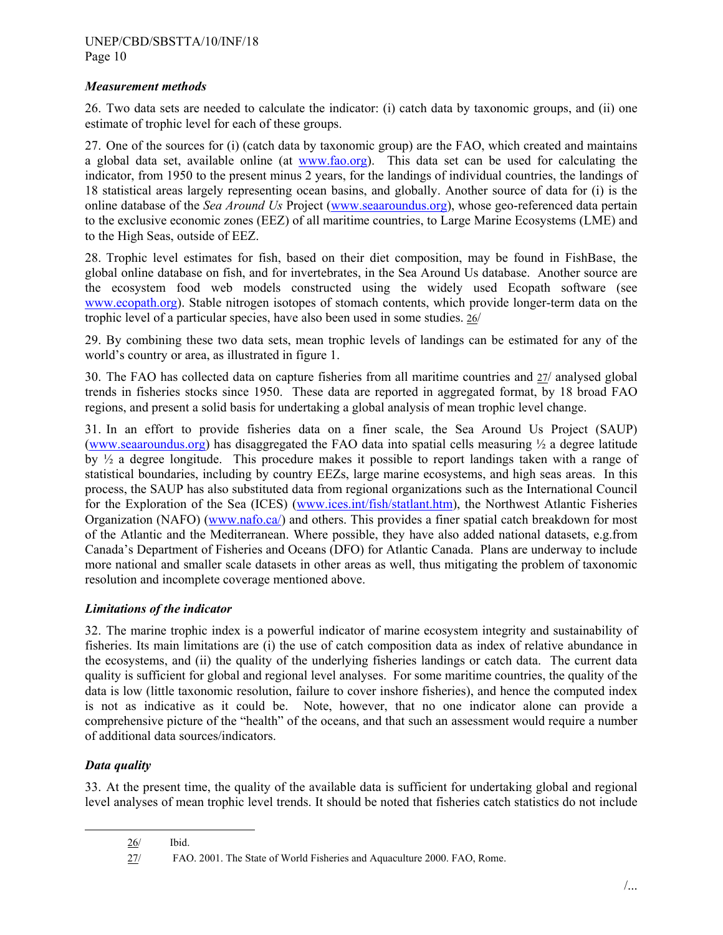#### *Measurement methods*

26. Two data sets are needed to calculate the indicator: (i) catch data by taxonomic groups, and (ii) one estimate of trophic level for each of these groups.

27. One of the sources for (i) (catch data by taxonomic group) are the FAO, which created and maintains a global data set, available online (at www.fao.org). This data set can be used for calculating the indicator, from 1950 to the present minus 2 years, for the landings of individual countries, the landings of 18 statistical areas largely representing ocean basins, and globally. Another source of data for (i) is the online database of the *Sea Around Us* Project (www.seaaroundus.org), whose geo-referenced data pertain to the exclusive economic zones (EEZ) of all maritime countries, to Large Marine Ecosystems (LME) and to the High Seas, outside of EEZ.

28. Trophic level estimates for fish, based on their diet composition, may be found in FishBase, the global online database on fish, and for invertebrates, in the Sea Around Us database. Another source are the ecosystem food web models constructed using the widely used Ecopath software (see www.ecopath.org). Stable nitrogen isotopes of stomach contents, which provide longer-term data on the trophic level of a particular species, have also been used in some studies. 26/

29. By combining these two data sets, mean trophic levels of landings can be estimated for any of the world's country or area, as illustrated in figure 1.

30. The FAO has collected data on capture fisheries from all maritime countries and 27/ analysed global trends in fisheries stocks since 1950. These data are reported in aggregated format, by 18 broad FAO regions, and present a solid basis for undertaking a global analysis of mean trophic level change.

31. In an effort to provide fisheries data on a finer scale, the Sea Around Us Project (SAUP) (www.seaaroundus.org) has disaggregated the FAO data into spatial cells measuring  $\frac{1}{2}$  a degree latitude by ½ a degree longitude. This procedure makes it possible to report landings taken with a range of statistical boundaries, including by country EEZs, large marine ecosystems, and high seas areas. In this process, the SAUP has also substituted data from regional organizations such as the International Council for the Exploration of the Sea (ICES) (www.ices.int/fish/statlant.htm), the Northwest Atlantic Fisheries Organization (NAFO) (www.nafo.ca/) and others. This provides a finer spatial catch breakdown for most of the Atlantic and the Mediterranean. Where possible, they have also added national datasets, e.g.from Canada's Department of Fisheries and Oceans (DFO) for Atlantic Canada. Plans are underway to include more national and smaller scale datasets in other areas as well, thus mitigating the problem of taxonomic resolution and incomplete coverage mentioned above.

## *Limitations of the indicator*

32. The marine trophic index is a powerful indicator of marine ecosystem integrity and sustainability of fisheries. Its main limitations are (i) the use of catch composition data as index of relative abundance in the ecosystems, and (ii) the quality of the underlying fisheries landings or catch data. The current data quality is sufficient for global and regional level analyses. For some maritime countries, the quality of the data is low (little taxonomic resolution, failure to cover inshore fisheries), and hence the computed index is not as indicative as it could be. Note, however, that no one indicator alone can provide a comprehensive picture of the "health" of the oceans, and that such an assessment would require a number of additional data sources/indicators.

## *Data quality*

33. At the present time, the quality of the available data is sufficient for undertaking global and regional level analyses of mean trophic level trends. It should be noted that fisheries catch statistics do not include

 $\frac{26}{}$  Ibid.

<sup>27/</sup> FAO. 2001. The State of World Fisheries and Aquaculture 2000. FAO, Rome.